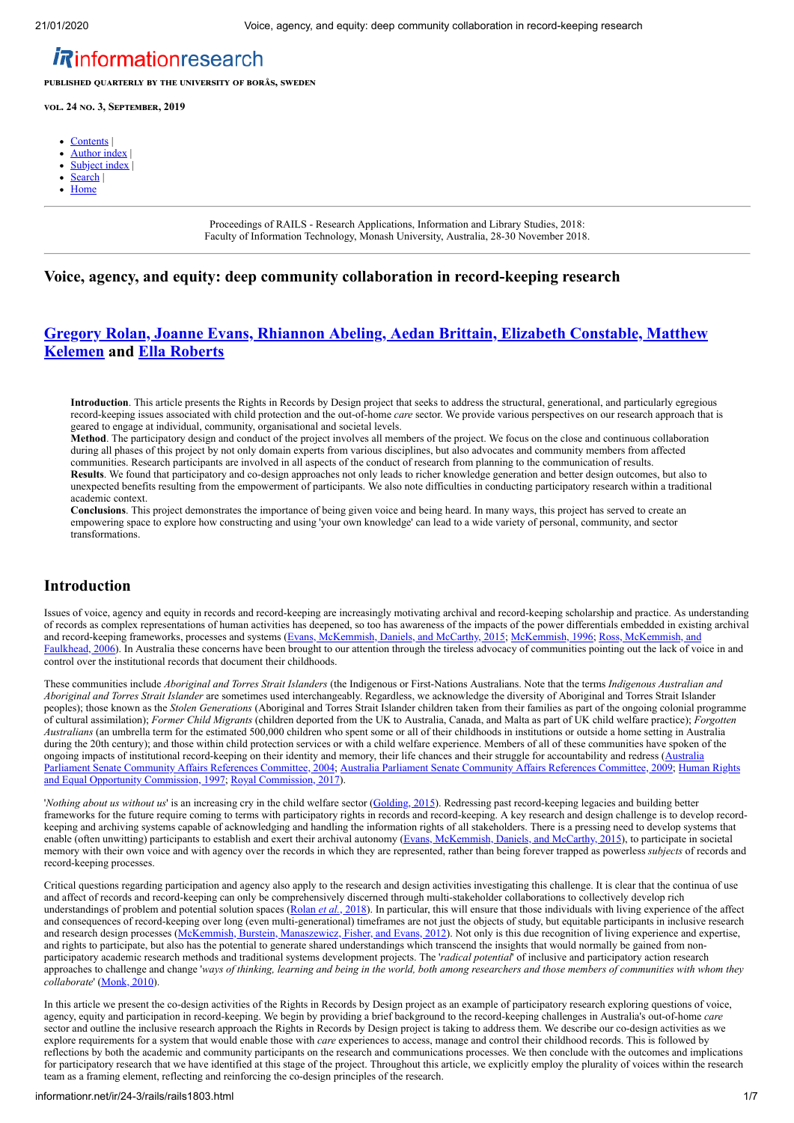# *Rinformationresearch*

**PUBLISHED QUARTERLY BY THE UNIVERSITY OF BORÅS, SWEDEN** 

**vol. 24 no. 3, SEPTEMBER, 2019** 

- [Contents](http://informationr.net/ir/24-3/rails/rails18.html) |
- [Author index](http://informationr.net/ir/iraindex.html) |
- Subject index
- [Search](http://informationr.net/ir/search.html) | [Home](http://informationr.net/ir/index.html)
- 

Proceedings of RAILS - Research Applications, Information and Library Studies, 2018: Faculty of Information Technology, Monash University, Australia, 28-30 November 2018.

## **Voice, agency, and equity: deep community collaboration in record-keeping research**

## **[Gregory Rolan, Joanne Evans, Rhiannon Abeling, Aedan Brittain, Elizabeth Constable, Matthew](#page-5-0) Kelemen and [Ella Roberts](#page-5-0)**

**Introduction**. This article presents the Rights in Records by Design project that seeks to address the structural, generational, and particularly egregious record-keeping issues associated with child protection and the out-of-home *care* sector. We provide various perspectives on our research approach that is geared to engage at individual, community, organisational and societal levels.

**Method**. The participatory design and conduct of the project involves all members of the project. We focus on the close and continuous collaboration during all phases of this project by not only domain experts from various disciplines, but also advocates and community members from affected communities. Research participants are involved in all aspects of the conduct of research from planning to the communication of results. **Results**. We found that participatory and co-design approaches not only leads to richer knowledge generation and better design outcomes, but also to unexpected benefits resulting from the empowerment of participants. We also note difficulties in conducting participatory research within a traditional academic context.

**Conclusions**. This project demonstrates the importance of being given voice and being heard. In many ways, this project has served to create an empowering space to explore how constructing and using 'your own knowledge' can lead to a wide variety of personal, community, and sector transformations.

## **Introduction**

Issues of voice, agency and equity in records and record-keeping are increasingly motivating archival and record-keeping scholarship and practice. As understanding of records as complex representations of human activities has deepened, so too has awareness of the impacts of the power differentials embedded in existing archival [and record-keeping frameworks, processes and systems \(Evans, McKemmish, Daniels, and McCarthy, 2015; McKemmish, 1996; Ross, McKemmish, and](#page-5-3) Faulkhead, 2006). In Australia these concerns have been brought to our attention through the tireless advocacy of communities pointing out the lack of voice in and control over the institutional records that document their childhoods.

These communities include *Aboriginal and Torres Strait Islanders* (the Indigenous or First-Nations Australians. Note that the terms *Indigenous Australian and Aboriginal and Torres Strait Islander* are sometimes used interchangeably. Regardless, we acknowledge the diversity of Aboriginal and Torres Strait Islander peoples); those known as the *Stolen Generations* (Aboriginal and Torres Strait Islander children taken from their families as part of the ongoing colonial programme of cultural assimilation); *Former Child Migrants* (children deported from the UK to Australia, Canada, and Malta as part of UK child welfare practice); *Forgotten Australians* (an umbrella term for the estimated 500,000 children who spent some or all of their childhoods in institutions or outside a home setting in Australia during the 20th century); and those within child protection services or with a child welfare experience. Members of all of these communities have spoken of the [ongoing impacts of institutional record-keeping on their identity and memory, their life chances and their struggle for accountability and redress \(Australia](#page-5-4) [Parliament Senate Community Affairs References Committee, 2004; Australia Parliament Senate Community Affairs References Committee, 2009; Human Rights](#page-5-6) and Equal Opportunity Commission, 1997; [Royal Commission, 2017\)](#page-5-7).

'*Nothing about us without us'* is an increasing cry in the child welfare sector (*[Golding, 2015](#page-5-8)*). Redressing past record-keeping legacies and building better frameworks for the future require coming to terms with participatory rights in records and record-keeping. A key research and design challenge is to develop recordkeeping and archiving systems capable of acknowledging and handling the information rights of all stakeholders. There is a pressing need to develop systems that enable (often unwitting) participants to establish and exert their archival autonomy ([Evans, McKemmish, Daniels, and McCarthy, 2015](#page-5-1)), to participate in societal memory with their own voice and with agency over the records in which they are represented, rather than being forever trapped as powerless *subjects* of records and record-keeping processes.

Critical questions regarding participation and agency also apply to the research and design activities investigating this challenge. It is clear that the continua of use and affect of records and record-keeping can only be comprehensively discerned through multi-stakeholder collaborations to collectively develop rich understandings of problem and potential solution spaces ([Rolan](#page-5-9) *et al.*, 2018). In particular, this will ensure that those individuals with living experience of the affect and consequences of record-keeping over long (even multi-generational) timeframes are not just the objects of study, but equitable participants in inclusive research and research design processes ([McKemmish, Burstein, Manaszewicz, Fisher, and Evans, 2012\)](#page-5-10). Not only is this due recognition of living experience and expertise, and rights to participate, but also has the potential to generate shared understandings which transcend the insights that would normally be gained from nonparticipatory academic research methods and traditional systems development projects. The '*radical potential*' of inclusive and participatory action research approaches to challenge and change '*ways of thinking, learning and being in the world, both among researchers and those members of communities with whom they collaborate*' [\(Monk, 2010](#page-5-11)).

In this article we present the co-design activities of the Rights in Records by Design project as an example of participatory research exploring questions of voice, agency, equity and participation in record-keeping. We begin by providing a brief background to the record-keeping challenges in Australia's out-of-home *care* sector and outline the inclusive research approach the Rights in Records by Design project is taking to address them. We describe our co-design activities as we explore requirements for a system that would enable those with *care* experiences to access, manage and control their childhood records. This is followed by reflections by both the academic and community participants on the research and communications processes. We then conclude with the outcomes and implications for participatory research that we have identified at this stage of the project. Throughout this article, we explicitly employ the plurality of voices within the research team as a framing element, reflecting and reinforcing the co-design principles of the research.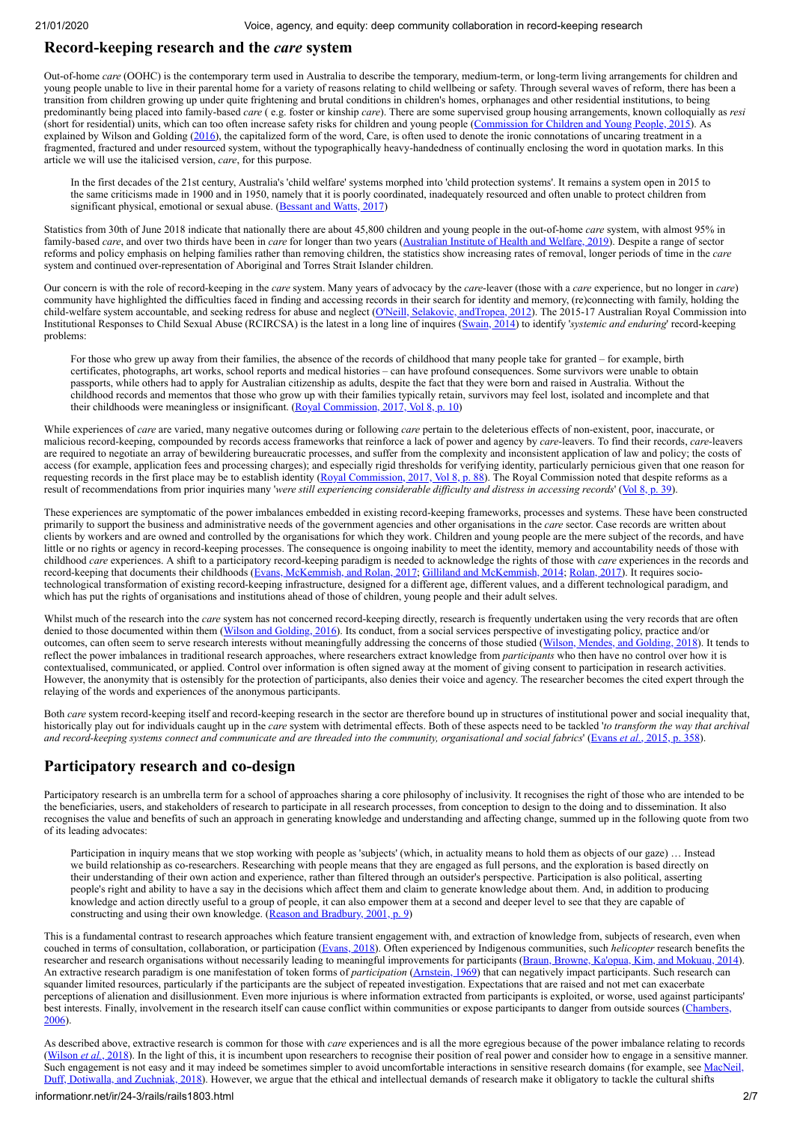### **Record-keeping research and the** *care* **system**

Out-of-home *care* (OOHC) is the contemporary term used in Australia to describe the temporary, medium-term, or long-term living arrangements for children and young people unable to live in their parental home for a variety of reasons relating to child wellbeing or safety. Through several waves of reform, there has been a transition from children growing up under quite frightening and brutal conditions in children's homes, orphanages and other residential institutions, to being predominantly being placed into family-based *care* ( e.g. foster or kinship *care*). There are some supervised group housing arrangements, known colloquially as *resi* (short for residential) units, which can too often increase safety risks for children and young people ([Commission for Children and Young People, 2015\)](#page-5-12). As explained by Wilson and Golding ([2016\)](#page-6-0), the capitalized form of the word, Care, is often used to denote the ironic connotations of uncaring treatment in a fragmented, fractured and under resourced system, without the typographically heavy-handedness of continually enclosing the word in quotation marks. In this article we will use the italicised version, *care*, for this purpose.

In the first decades of the 21st century, Australia's 'child welfare' systems morphed into 'child protection systems'. It remains a system open in 2015 to the same criticisms made in 1900 and in 1950, namely that it is poorly coordinated, inadequately resourced and often unable to protect children from significant physical, emotional or sexual abuse. ([Bessant and Watts, 2017](#page-5-13))

Statistics from 30th of June 2018 indicate that nationally there are about 45,800 children and young people in the out-of-home *care* system, with almost 95% in family-based *care*, and over two thirds have been in *care* for longer than two years [\(Australian Institute of Health and Welfare, 2019\)](#page-5-14). Despite a range of sector reforms and policy emphasis on helping families rather than removing children, the statistics show increasing rates of removal, longer periods of time in the *care* system and continued over-representation of Aboriginal and Torres Strait Islander children.

Our concern is with the role of record-keeping in the *care* system. Many years of advocacy by the *care*-leaver (those with a *care* experience, but no longer in *care*) community have highlighted the difficulties faced in finding and accessing records in their search for identity and memory, (re)connecting with family, holding the child-welfare system accountable, and seeking redress for abuse and neglect ([O'Neill, Selakovic, andTropea, 2012](#page-5-15)). The 2015-17 Australian Royal Commission into Institutional Responses to Child Sexual Abuse (RCIRCSA) is the latest in a long line of inquires ([Swain, 2014\)](#page-6-1) to identify '*systemic and enduring*' record-keeping problems:

For those who grew up away from their families, the absence of the records of childhood that many people take for granted – for example, birth certificates, photographs, art works, school reports and medical histories – can have profound consequences. Some survivors were unable to obtain passports, while others had to apply for Australian citizenship as adults, despite the fact that they were born and raised in Australia. Without the childhood records and mementos that those who grow up with their families typically retain, survivors may feel lost, isolated and incomplete and that their childhoods were meaningless or insignificant. [\(Royal Commission, 2017, Vol 8, p. 10](#page-5-7))

While experiences of *care* are varied, many negative outcomes during or following *care* pertain to the deleterious effects of non-existent, poor, inaccurate, or malicious record-keeping, compounded by records access frameworks that reinforce a lack of power and agency by *care*-leavers. To find their records, *care*-leavers are required to negotiate an array of bewildering bureaucratic processes, and suffer from the complexity and inconsistent application of law and policy; the costs of access (for example, application fees and processing charges); and especially rigid thresholds for verifying identity, particularly pernicious given that one reason for requesting records in the first place may be to establish identity ([Royal Commission, 2017, Vol 8, p. 88](#page-5-7)). The Royal Commission noted that despite reforms as a a result of recommendations from prior inquiries many '*were still experiencing considerable difficulty and distress in accessing records*' ([Vol 8, p. 39\)](#page-5-7).

These experiences are symptomatic of the power imbalances embedded in existing record-keeping frameworks, processes and systems. These have been constructed primarily to support the business and administrative needs of the government agencies and other organisations in the *care* sector. Case records are written about clients by workers and are owned and controlled by the organisations for which they work. Children and young people are the mere subject of the records, and have little or no rights or agency in record-keeping processes. The consequence is ongoing inability to meet the identity, memory and accountability needs of those with childhood *care* experiences. A shift to a participatory record-keeping paradigm is needed to acknowledge the rights of those with *care* experiences in the records and record-keeping that documents their childhoods ([Evans, McKemmish, and Rolan, 2017;](#page-5-16) [Gilliland and McKemmish, 2014;](#page-5-17) [Rolan, 2017](#page-5-18)). It requires sociotechnological transformation of existing record-keeping infrastructure, designed for a different age, different values, and a different technological paradigm, and which has put the rights of organisations and institutions ahead of those of children, young people and their adult selves.

Whilst much of the research into the *care* system has not concerned record-keeping directly, research is frequently undertaken using the very records that are often denied to those documented within them ([Wilson and Golding, 2016](#page-6-0)). Its conduct, from a social services perspective of investigating policy, practice and/or outcomes, can often seem to serve research interests without meaningfully addressing the concerns of those studied ([Wilson, Mendes, and Golding, 2018](#page-6-2)). It tends to reflect the power imbalances in traditional research approaches, where researchers extract knowledge from *participants* who then have no control over how it is contextualised, communicated, or applied. Control over information is often signed away at the moment of giving consent to participation in research activities. However, the anonymity that is ostensibly for the protection of participants, also denies their voice and agency. The researcher becomes the cited expert through the relaying of the words and experiences of the anonymous participants.

Both *care* system record-keeping itself and record-keeping research in the sector are therefore bound up in structures of institutional power and social inequality that, historically play out for individuals caught up in the *care* system with detrimental effects. Both of these aspects need to be tackled '*to transform the way that archival and record-keeping systems connect and communicate and are threaded into the community, organisational and social fabrics*' (Evans *et al.*[, 2015, p. 358\)](#page-5-1).

## **Participatory research and co-design**

Participatory research is an umbrella term for a school of approaches sharing a core philosophy of inclusivity. It recognises the right of those who are intended to be the beneficiaries, users, and stakeholders of research to participate in all research processes, from conception to design to the doing and to dissemination. It also recognises the value and benefits of such an approach in generating knowledge and understanding and affecting change, summed up in the following quote from two of its leading advocates:

Participation in inquiry means that we stop working with people as 'subjects' (which, in actuality means to hold them as objects of our gaze) … Instead we build relationship as co-researchers. Researching with people means that they are engaged as full persons, and the exploration is based directly on their understanding of their own action and experience, rather than filtered through an outsider's perspective. Participation is also political, asserting people's right and ability to have a say in the decisions which affect them and claim to generate knowledge about them. And, in addition to producing knowledge and action directly useful to a group of people, it can also empower them at a second and deeper level to see that they are capable of constructing and using their own knowledge. ([Reason and Bradbury, 2001, p. 9\)](#page-5-19)

This is a fundamental contrast to research approaches which feature transient engagement with, and extraction of knowledge from, subjects of research, even when couched in terms of consultation, collaboration, or participation ([Evans, 2018](#page-5-20)). Often experienced by Indigenous communities, such *helicopter* research benefits the researcher and research organisations without necessarily leading to meaningful improvements for participants ([Braun, Browne, Ka'opua, Kim, and Mokuau, 2014\)](#page-5-21). An extractive research paradigm is one manifestation of token forms of *participation* [\(Arnstein, 1969\)](#page-5-22) that can negatively impact participants. Such research can squander limited resources, particularly if the participants are the subject of repeated investigation. Expectations that are raised and not met can exacerbate perceptions of alienation and disillusionment. Even more injurious is where information extracted from participants is exploited, or worse, used against participants' best interests. Finally, involvement in the research itself can cause conflict within communities or expose participants to danger from outside sources (Chambers 2006).

As described above, extractive research is common for those with *care* experiences and is all the more egregious because of the power imbalance relating to records ([Wilson](#page-6-2) *et al.*, 2018). In the light of this, it is incumbent upon researchers to recognise their position of real power and consider how to engage in a sensitive manner. [Such engagement is not easy and it may indeed be sometimes simpler to avoid uncomfortable interactions in sensitive research domains \(for example, see MacNeil,](#page-5-24) Duff, Dotiwalla, and Zuchniak, 2018). However, we argue that the ethical and intellectual demands of research make it obligatory to tackle the cultural shifts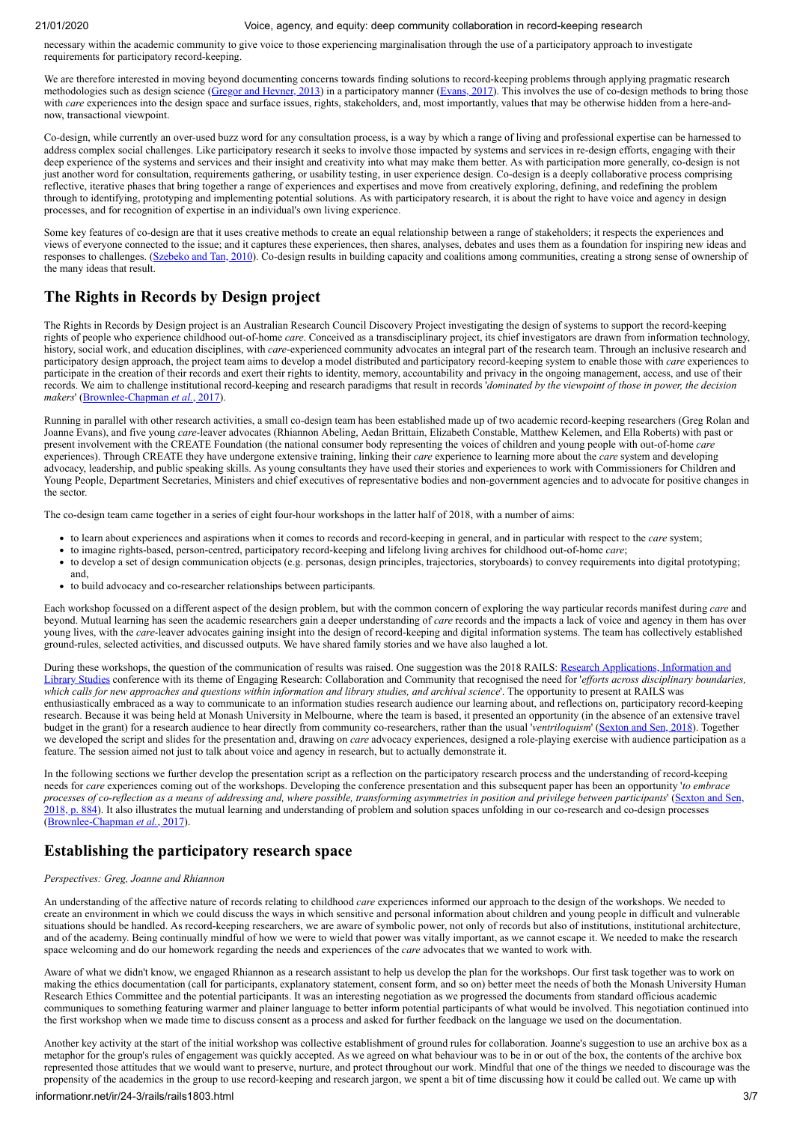necessary within the academic community to give voice to those experiencing marginalisation through the use of a participatory approach to investigate requirements for participatory record-keeping.

We are therefore interested in moving beyond documenting concerns towards finding solutions to record-keeping problems through applying pragmatic research methodologies such as design science ([Gregor and Hevner, 2013](#page-5-25)) in a participatory manner [\(Evans, 2017\)](#page-5-26). This involves the use of co-design methods to bring those with *care* experiences into the design space and surface issues, rights, stakeholders, and, most importantly, values that may be otherwise hidden from a here-andnow, transactional viewpoint.

Co-design, while currently an over-used buzz word for any consultation process, is a way by which a range of living and professional expertise can be harnessed to address complex social challenges. Like participatory research it seeks to involve those impacted by systems and services in re-design efforts, engaging with their deep experience of the systems and services and their insight and creativity into what may make them better. As with participation more generally, co-design is not just another word for consultation, requirements gathering, or usability testing, in user experience design. Co-design is a deeply collaborative process comprising reflective, iterative phases that bring together a range of experiences and expertises and move from creatively exploring, defining, and redefining the problem through to identifying, prototyping and implementing potential solutions. As with participatory research, it is about the right to have voice and agency in design processes, and for recognition of expertise in an individual's own living experience.

Some key features of co-design are that it uses creative methods to create an equal relationship between a range of stakeholders; it respects the experiences and views of everyone connected to the issue; and it captures these experiences, then shares, analyses, debates and uses them as a foundation for inspiring new ideas and responses to challenges. ([Szebeko and Tan, 2010\)](#page-6-3). Co-design results in building capacity and coalitions among communities, creating a strong sense of ownership of the many ideas that result.

## **The Rights in Records by Design project**

The Rights in Records by Design project is an Australian Research Council Discovery Project investigating the design of systems to support the record-keeping rights of people who experience childhood out-of-home *care*. Conceived as a transdisciplinary project, its chief investigators are drawn from information technology, history, social work, and education disciplines, with *care*-experienced community advocates an integral part of the research team. Through an inclusive research and participatory design approach, the project team aims to develop a model distributed and participatory record-keeping system to enable those with *care* experiences to participate in the creation of their records and exert their rights to identity, memory, accountability and privacy in the ongoing management, access, and use of their records. We aim to challenge institutional record-keeping and research paradigms that result in records '*dominated by the viewpoint of those in power, the decision makers*' [\(Brownlee-Chapman](#page-5-27) *et al.*, 2017).

Running in parallel with other research activities, a small co-design team has been established made up of two academic record-keeping researchers (Greg Rolan and Joanne Evans), and five young *care*-leaver advocates (Rhiannon Abeling, Aedan Brittain, Elizabeth Constable, Matthew Kelemen, and Ella Roberts) with past or present involvement with the CREATE Foundation (the national consumer body representing the voices of children and young people with out-of-home *care* experiences). Through CREATE they have undergone extensive training, linking their *care* experience to learning more about the *care* system and developing advocacy, leadership, and public speaking skills. As young consultants they have used their stories and experiences to work with Commissioners for Children and Young People, Department Secretaries, Ministers and chief executives of representative bodies and non-government agencies and to advocate for positive changes in the sector.

The co-design team came together in a series of eight four-hour workshops in the latter half of 2018, with a number of aims:

- to learn about experiences and aspirations when it comes to records and record-keeping in general, and in particular with respect to the *care* system;
- to imagine rights-based, person-centred, participatory record-keeping and lifelong living archives for childhood out-of-home *care*;
- to develop a set of design communication objects (e.g. personas, design principles, trajectories, storyboards) to convey requirements into digital prototyping; and,
- to build advocacy and co-researcher relationships between participants.

Each workshop focussed on a different aspect of the design problem, but with the common concern of exploring the way particular records manifest during *care* and beyond. Mutual learning has seen the academic researchers gain a deeper understanding of *care* records and the impacts a lack of voice and agency in them has over young lives, with the *care*-leaver advocates gaining insight into the design of record-keeping and digital information systems. The team has collectively established ground-rules, selected activities, and discussed outputs. We have shared family stories and we have also laughed a lot.

[During these workshops, the question of the communication of results was raised. One suggestion was the 2018 RAILS: Research Applications, Information and](https://railsconference.com/conference-archive/rails-2018/call-for-papers-2018/) Library Studies conference with its theme of Engaging Research: Collaboration and Community that recognised the need for '*efforts across disciplinary boundaries, which calls for new approaches and questions within information and library studies, and archival science*'. The opportunity to present at RAILS was enthusiastically embraced as a way to communicate to an information studies research audience our learning about, and reflections on, participatory record-keeping research. Because it was being held at Monash University in Melbourne, where the team is based, it presented an opportunity (in the absence of an extensive travel budget in the grant) for a research audience to hear directly from community co-researchers, rather than the usual '*ventriloquism*' [\(Sexton and Sen, 2018](#page-6-4)). Together we developed the script and slides for the presentation and, drawing on *care* advocacy experiences, designed a role-playing exercise with audience participation as a feature. The session aimed not just to talk about voice and agency in research, but to actually demonstrate it.

In the following sections we further develop the presentation script as a reflection on the participatory research process and the understanding of record-keeping needs for *care* experiences coming out of the workshops. Developing the conference presentation and this subsequent paper has been an opportunity '*to embrace processes of co-reflection as a means of addressing and, where possible, transforming asymmetries in position and privilege between participants*' (Sexton and S [2018, p. 884\). It also illustrates the mutual learning and understanding of problem and solution spaces unfolding in our co-research and co-design processes](#page-6-4) ([Brownlee-Chapman](#page-5-27) *et al.*, 2017).

## **Establishing the participatory research space**

#### *Perspectives: Greg, Joanne and Rhiannon*

An understanding of the affective nature of records relating to childhood *care* experiences informed our approach to the design of the workshops. We needed to create an environment in which we could discuss the ways in which sensitive and personal information about children and young people in difficult and vulnerable situations should be handled. As record-keeping researchers, we are aware of symbolic power, not only of records but also of institutions, institutional architecture, and of the academy. Being continually mindful of how we were to wield that power was vitally important, as we cannot escape it. We needed to make the research space welcoming and do our homework regarding the needs and experiences of the *care* advocates that we wanted to work with.

Aware of what we didn't know, we engaged Rhiannon as a research assistant to help us develop the plan for the workshops. Our first task together was to work on making the ethics documentation (call for participants, explanatory statement, consent form, and so on) better meet the needs of both the Monash University Human Research Ethics Committee and the potential participants. It was an interesting negotiation as we progressed the documents from standard officious academic communiques to something featuring warmer and plainer language to better inform potential participants of what would be involved. This negotiation continued into the first workshop when we made time to discuss consent as a process and asked for further feedback on the language we used on the documentation.

Another key activity at the start of the initial workshop was collective establishment of ground rules for collaboration. Joanne's suggestion to use an archive box as a metaphor for the group's rules of engagement was quickly accepted. As we agreed on what behaviour was to be in or out of the box, the contents of the archive box represented those attitudes that we would want to preserve, nurture, and protect throughout our work. Mindful that one of the things we needed to discourage was the propensity of the academics in the group to use record-keeping and research jargon, we spent a bit of time discussing how it could be called out. We came up with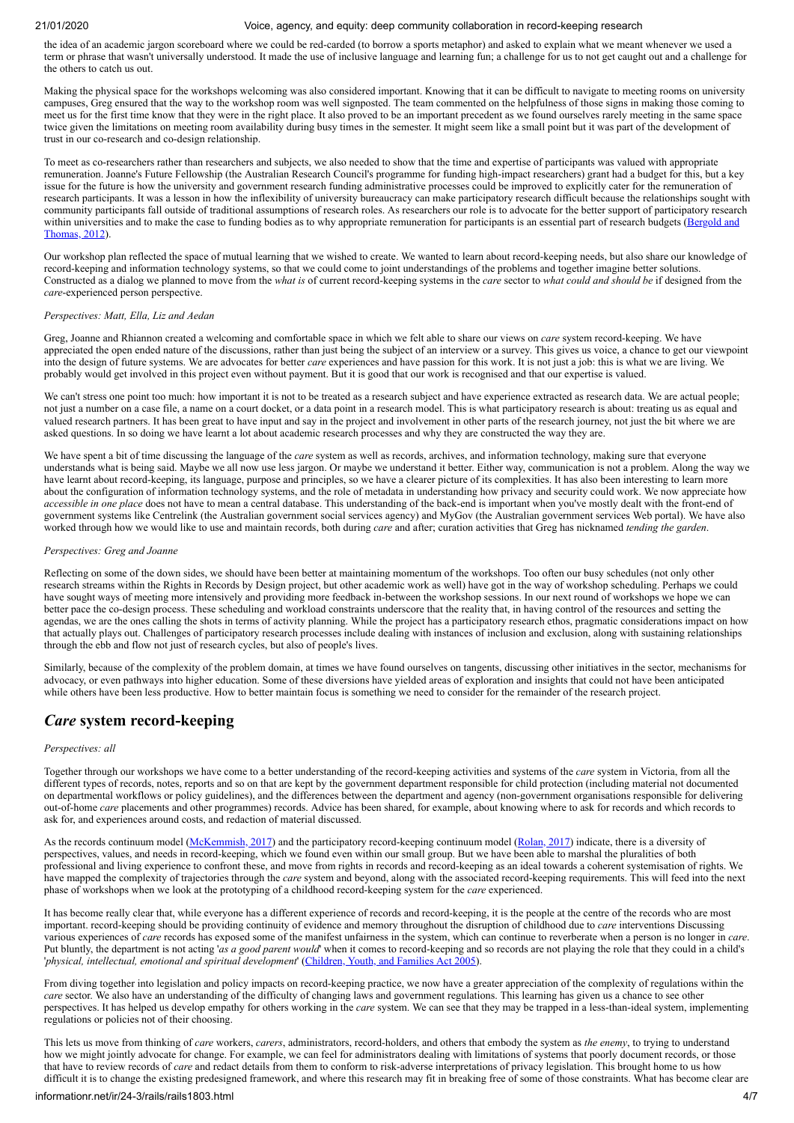the idea of an academic jargon scoreboard where we could be red-carded (to borrow a sports metaphor) and asked to explain what we meant whenever we used a term or phrase that wasn't universally understood. It made the use of inclusive language and learning fun; a challenge for us to not get caught out and a challenge for the others to catch us out.

Making the physical space for the workshops welcoming was also considered important. Knowing that it can be difficult to navigate to meeting rooms on university campuses, Greg ensured that the way to the workshop room was well signposted. The team commented on the helpfulness of those signs in making those coming to meet us for the first time know that they were in the right place. It also proved to be an important precedent as we found ourselves rarely meeting in the same space twice given the limitations on meeting room availability during busy times in the semester. It might seem like a small point but it was part of the development of trust in our co-research and co-design relationship.

To meet as co-researchers rather than researchers and subjects, we also needed to show that the time and expertise of participants was valued with appropriate remuneration. Joanne's Future Fellowship (the Australian Research Council's programme for funding high-impact researchers) grant had a budget for this, but a key issue for the future is how the university and government research funding administrative processes could be improved to explicitly cater for the remuneration of research participants. It was a lesson in how the inflexibility of university bureaucracy can make participatory research difficult because the relationships sought with community participants fall outside of traditional assumptions of research roles. As researchers our role is to advocate for the better support of participatory research [within universities and to make the case to funding bodies as to why appropriate remuneration for participants is an essential part of research budgets \(Bergold and](#page-5-28) Thomas, 2012).

Our workshop plan reflected the space of mutual learning that we wished to create. We wanted to learn about record-keeping needs, but also share our knowledge of record-keeping and information technology systems, so that we could come to joint understandings of the problems and together imagine better solutions. Constructed as a dialog we planned to move from the *what is* of current record-keeping systems in the *care* sector to *what could and should be* if designed from the *care*-experienced person perspective.

### *Perspectives: Matt, Ella, Liz and Aedan*

Greg, Joanne and Rhiannon created a welcoming and comfortable space in which we felt able to share our views on *care* system record-keeping. We have appreciated the open ended nature of the discussions, rather than just being the subject of an interview or a survey. This gives us voice, a chance to get our viewpoint into the design of future systems. We are advocates for better *care* experiences and have passion for this work. It is not just a job: this is what we are living. We probably would get involved in this project even without payment. But it is good that our work is recognised and that our expertise is valued.

We can't stress one point too much: how important it is not to be treated as a research subject and have experience extracted as research data. We are actual people; not just a number on a case file, a name on a court docket, or a data point in a research model. This is what participatory research is about: treating us as equal and valued research partners. It has been great to have input and say in the project and involvement in other parts of the research journey, not just the bit where we are asked questions. In so doing we have learnt a lot about academic research processes and why they are constructed the way they are.

We have spent a bit of time discussing the language of the *care* system as well as records, archives, and information technology, making sure that everyone understands what is being said. Maybe we all now use less jargon. Or maybe we understand it better. Either way, communication is not a problem. Along the way we have learnt about record-keeping, its language, purpose and principles, so we have a clearer picture of its complexities. It has also been interesting to learn more about the configuration of information technology systems, and the role of metadata in understanding how privacy and security could work. We now appreciate how *accessible in one place* does not have to mean a central database. This understanding of the back-end is important when you've mostly dealt with the front-end of government systems like Centrelink (the Australian government social services agency) and MyGov (the Australian government services Web portal). We have also worked through how we would like to use and maintain records, both during *care* and after; curation activities that Greg has nicknamed *tending the garden*.

#### *Perspectives: Greg and Joanne*

Reflecting on some of the down sides, we should have been better at maintaining momentum of the workshops. Too often our busy schedules (not only other research streams within the Rights in Records by Design project, but other academic work as well) have got in the way of workshop scheduling. Perhaps we could have sought ways of meeting more intensively and providing more feedback in-between the workshop sessions. In our next round of workshops we hope we can better pace the co-design process. These scheduling and workload constraints underscore that the reality that, in having control of the resources and setting the agendas, we are the ones calling the shots in terms of activity planning. While the project has a participatory research ethos, pragmatic considerations impact on how that actually plays out. Challenges of participatory research processes include dealing with instances of inclusion and exclusion, along with sustaining relationships through the ebb and flow not just of research cycles, but also of people's lives.

Similarly, because of the complexity of the problem domain, at times we have found ourselves on tangents, discussing other initiatives in the sector, mechanisms for advocacy, or even pathways into higher education. Some of these diversions have yielded areas of exploration and insights that could not have been anticipated while others have been less productive. How to better maintain focus is something we need to consider for the remainder of the research project.

## *Care* **system record-keeping**

#### *Perspectives: all*

Together through our workshops we have come to a better understanding of the record-keeping activities and systems of the *care* system in Victoria, from all the different types of records, notes, reports and so on that are kept by the government department responsible for child protection (including material not documented on departmental workflows or policy guidelines), and the differences between the department and agency (non-government organisations responsible for delivering out-of-home *care* placements and other programmes) records. Advice has been shared, for example, about knowing where to ask for records and which records to ask for, and experiences around costs, and redaction of material discussed.

As the records continuum model [\(McKemmish, 2017](#page-5-29)) and the participatory record-keeping continuum model [\(Rolan, 2017](#page-5-18)) indicate, there is a diversity of perspectives, values, and needs in record-keeping, which we found even within our small group. But we have been able to marshal the pluralities of both professional and living experience to confront these, and move from rights in records and record-keeping as an ideal towards a coherent systemisation of rights. We have mapped the complexity of trajectories through the *care* system and beyond, along with the associated record-keeping requirements. This will feed into the next phase of workshops when we look at the prototyping of a childhood record-keeping system for the *care* experienced.

It has become really clear that, while everyone has a different experience of records and record-keeping, it is the people at the centre of the records who are most important. record-keeping should be providing continuity of evidence and memory throughout the disruption of childhood due to *care* interventions Discussing various experiences of *care* records has exposed some of the manifest unfairness in the system, which can continue to reverberate when a person is no longer in *care*. Put bluntly, the department is not acting '*as a good parent would*' when it comes to record-keeping and so records are not playing the role that they could in a child's '*physical, intellectual, emotional and spiritual development*' ([Children, Youth, and Families Act 2005\)](#page-6-5).

From diving together into legislation and policy impacts on record-keeping practice, we now have a greater appreciation of the complexity of regulations within the *care* sector. We also have an understanding of the difficulty of changing laws and government regulations. This learning has given us a chance to see other perspectives. It has helped us develop empathy for others working in the *care* system. We can see that they may be trapped in a less-than-ideal system, implementing regulations or policies not of their choosing.

This lets us move from thinking of *care* workers, *carers*, administrators, record-holders, and others that embody the system as *the enemy*, to trying to understand how we might jointly advocate for change. For example, we can feel for administrators dealing with limitations of systems that poorly document records, or those that have to review records of *care* and redact details from them to conform to risk-adverse interpretations of privacy legislation. This brought home to us how difficult it is to change the existing predesigned framework, and where this research may fit in breaking free of some of those constraints. What has become clear are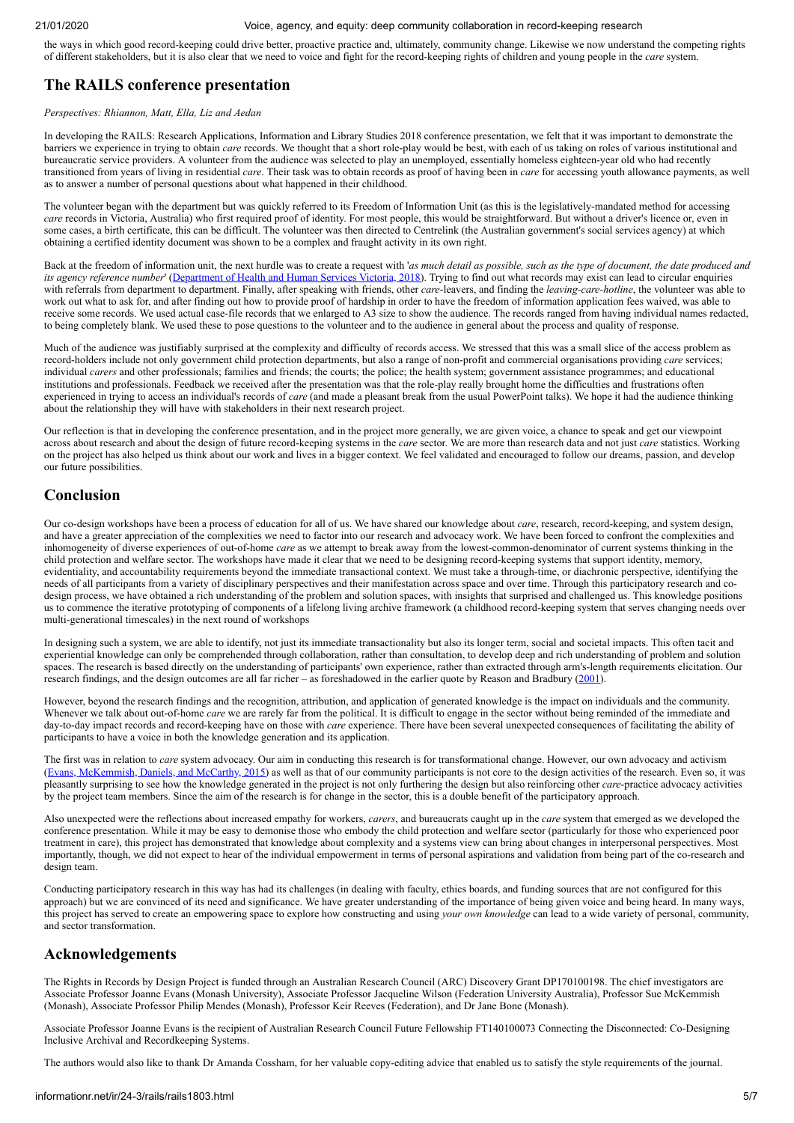the ways in which good record-keeping could drive better, proactive practice and, ultimately, community change. Likewise we now understand the competing rights of different stakeholders, but it is also clear that we need to voice and fight for the record-keeping rights of children and young people in the *care* system.

## **The RAILS conference presentation**

#### *Perspectives: Rhiannon, Matt, Ella, Liz and Aedan*

In developing the RAILS: Research Applications, Information and Library Studies 2018 conference presentation, we felt that it was important to demonstrate the barriers we experience in trying to obtain *care* records. We thought that a short role-play would be best, with each of us taking on roles of various institutional and bureaucratic service providers. A volunteer from the audience was selected to play an unemployed, essentially homeless eighteen-year old who had recently transitioned from years of living in residential *care*. Their task was to obtain records as proof of having been in *care* for accessing youth allowance payments, as well as to answer a number of personal questions about what happened in their childhood.

The volunteer began with the department but was quickly referred to its Freedom of Information Unit (as this is the legislatively-mandated method for accessing *care* records in Victoria, Australia) who first required proof of identity. For most people, this would be straightforward. But without a driver's licence or, even in some cases, a birth certificate, this can be difficult. The volunteer was then directed to Centrelink (the Australian government's social services agency) at which obtaining a certified identity document was shown to be a complex and fraught activity in its own right.

Back at the freedom of information unit, the next hurdle was to create a request with '*as much detail as possible, such as the type of document, the date produced and its agency reference number*' ([Department of Health and Human Services Victoria, 2018](#page-6-6)). Trying to find out what records may exist can lead to circular enquiries with referrals from department to department. Finally, after speaking with friends, other *care*-leavers, and finding the *leaving-care-hotline*, the volunteer was able to work out what to ask for, and after finding out how to provide proof of hardship in order to have the freedom of information application fees waived, was able to receive some records. We used actual case-file records that we enlarged to A3 size to show the audience. The records ranged from having individual names redacted, to being completely blank. We used these to pose questions to the volunteer and to the audience in general about the process and quality of response.

Much of the audience was justifiably surprised at the complexity and difficulty of records access. We stressed that this was a small slice of the access problem as record-holders include not only government child protection departments, but also a range of non-profit and commercial organisations providing *care* services; individual *carers* and other professionals; families and friends; the courts; the police; the health system; government assistance programmes; and educational institutions and professionals. Feedback we received after the presentation was that the role-play really brought home the difficulties and frustrations often experienced in trying to access an individual's records of *care* (and made a pleasant break from the usual PowerPoint talks). We hope it had the audience thinking about the relationship they will have with stakeholders in their next research project.

Our reflection is that in developing the conference presentation, and in the project more generally, we are given voice, a chance to speak and get our viewpoint across about research and about the design of future record-keeping systems in the *care* sector. We are more than research data and not just *care* statistics. Working on the project has also helped us think about our work and lives in a bigger context. We feel validated and encouraged to follow our dreams, passion, and develop our future possibilities.

## **Conclusion**

Our co-design workshops have been a process of education for all of us. We have shared our knowledge about *care*, research, record-keeping, and system design, and have a greater appreciation of the complexities we need to factor into our research and advocacy work. We have been forced to confront the complexities and inhomogeneity of diverse experiences of out-of-home *care* as we attempt to break away from the lowest-common-denominator of current systems thinking in the child protection and welfare sector. The workshops have made it clear that we need to be designing record-keeping systems that support identity, memory, evidentiality, and accountability requirements beyond the immediate transactional context. We must take a through-time, or diachronic perspective, identifying the needs of all participants from a variety of disciplinary perspectives and their manifestation across space and over time. Through this participatory research and codesign process, we have obtained a rich understanding of the problem and solution spaces, with insights that surprised and challenged us. This knowledge positions us to commence the iterative prototyping of components of a lifelong living archive framework (a childhood record-keeping system that serves changing needs over multi-generational timescales) in the next round of workshops

In designing such a system, we are able to identify, not just its immediate transactionality but also its longer term, social and societal impacts. This often tacit and experiential knowledge can only be comprehended through collaboration, rather than consultation, to develop deep and rich understanding of problem and solution spaces. The research is based directly on the understanding of participants' own experience, rather than extracted through arm's-length requirements elicitation. Our research findings, and the design outcomes are all far richer – as foreshadowed in the earlier quote by Reason and Bradbury ([2001](#page-5-19)).

However, beyond the research findings and the recognition, attribution, and application of generated knowledge is the impact on individuals and the community. Whenever we talk about out-of-home *care* we are rarely far from the political. It is difficult to engage in the sector without being reminded of the immediate and day-to-day impact records and record-keeping have on those with *care* experience. There have been several unexpected consequences of facilitating the ability of participants to have a voice in both the knowledge generation and its application.

The first was in relation to *care* system advocacy. Our aim in conducting this research is for transformational change. However, our own advocacy and activism ([Evans, McKemmish, Daniels, and McCarthy, 2015](#page-5-1)) as well as that of our community participants is not core to the design activities of the research. Even so, it was pleasantly surprising to see how the knowledge generated in the project is not only furthering the design but also reinforcing other *care*-practice advocacy activities by the project team members. Since the aim of the research is for change in the sector, this is a double benefit of the participatory approach.

Also unexpected were the reflections about increased empathy for workers, *carers*, and bureaucrats caught up in the *care* system that emerged as we developed the conference presentation. While it may be easy to demonise those who embody the child protection and welfare sector (particularly for those who experienced poor treatment in care), this project has demonstrated that knowledge about complexity and a systems view can bring about changes in interpersonal perspectives. Most importantly, though, we did not expect to hear of the individual empowerment in terms of personal aspirations and validation from being part of the co-research and design team.

Conducting participatory research in this way has had its challenges (in dealing with faculty, ethics boards, and funding sources that are not configured for this approach) but we are convinced of its need and significance. We have greater understanding of the importance of being given voice and being heard. In many ways, this project has served to create an empowering space to explore how constructing and using *your own knowledge* can lead to a wide variety of personal, community, and sector transformation.

## **Acknowledgements**

The Rights in Records by Design Project is funded through an Australian Research Council (ARC) Discovery Grant DP170100198. The chief investigators are Associate Professor Joanne Evans (Monash University), Associate Professor Jacqueline Wilson (Federation University Australia), Professor Sue McKemmish (Monash), Associate Professor Philip Mendes (Monash), Professor Keir Reeves (Federation), and Dr Jane Bone (Monash).

Associate Professor Joanne Evans is the recipient of Australian Research Council Future Fellowship FT140100073 Connecting the Disconnected: Co-Designing Inclusive Archival and Recordkeeping Systems.

The authors would also like to thank Dr Amanda Cossham, for her valuable copy-editing advice that enabled us to satisfy the style requirements of the journal.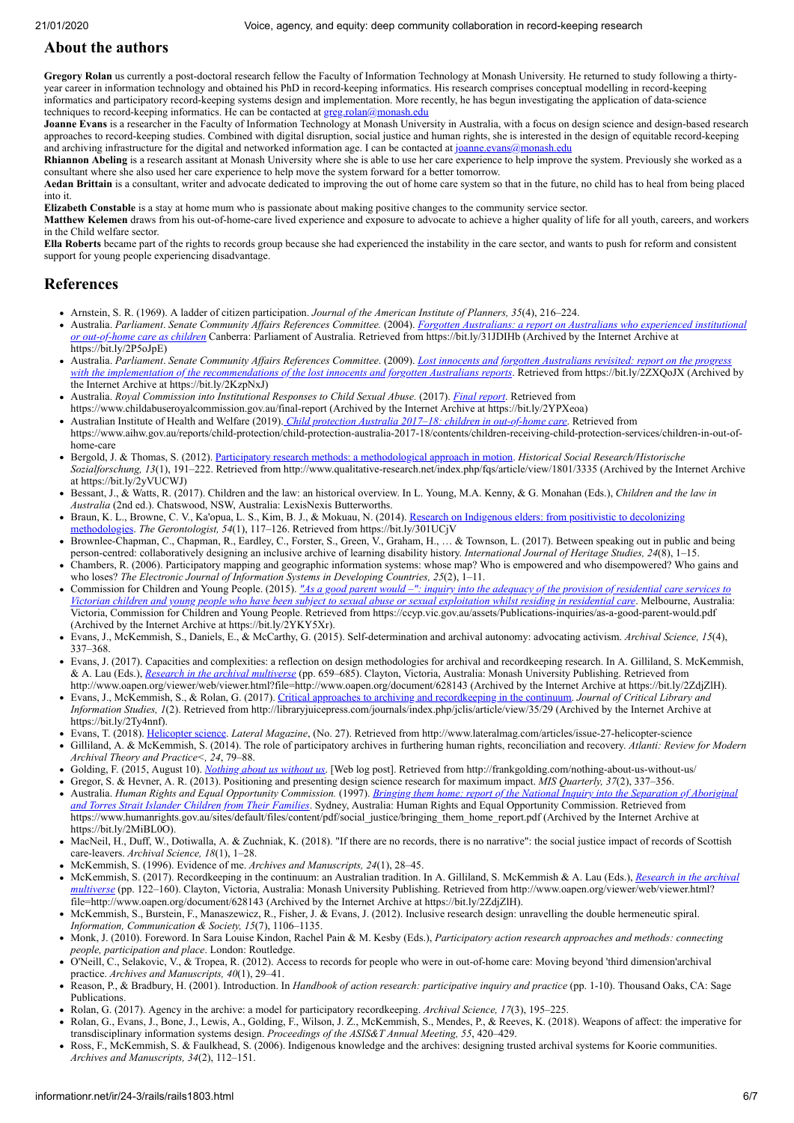## <span id="page-5-0"></span>**About the authors**

**Gregory Rolan** us currently a post-doctoral research fellow the Faculty of Information Technology at Monash University. He returned to study following a thirtyyear career in information technology and obtained his PhD in record-keeping informatics. His research comprises conceptual modelling in record-keeping informatics and participatory record-keeping systems design and implementation. More recently, he has begun investigating the application of data-science techniques to record-keeping informatics. He can be contacted at  $\frac{1}{\text{greg}, \text{rolan}(a) \text{monsn}.$ edu

**Joanne Evans** is a researcher in the Faculty of Information Technology at Monash University in Australia, with a focus on design science and design-based research approaches to record-keeping studies. Combined with digital disruption, social justice and human rights, she is interested in the design of equitable record-keeping and archiving infrastructure for the digital and networked information age. I can be contacted at [joanne.evans@monash.edu](mailto:joanne.evans@monash.edu)

**Rhiannon Abeling** is a research assitant at Monash University where she is able to use her care experience to help improve the system. Previously she worked as a consultant where she also used her care experience to help move the system forward for a better tomorrow.

**Aedan Brittain** is a consultant, writer and advocate dedicated to improving the out of home care system so that in the future, no child has to heal from being placed into it.

**Elizabeth Constable** is a stay at home mum who is passionate about making positive changes to the community service sector.

**Matthew Kelemen** draws from his out-of-home-care lived experience and exposure to advocate to achieve a higher quality of life for all youth, careers, and workers in the Child welfare sector.

**Ella Roberts** became part of the rights to records group because she had experienced the instability in the care sector, and wants to push for reform and consistent support for young people experiencing disadvantage.

## **References**

- <span id="page-5-22"></span>Arnstein, S. R. (1969). A ladder of citizen participation. *Journal of the American Institute of Planners, 35*(4), 216–224.
- <span id="page-5-4"></span>Australia. *Parliament*. *Senate Community Affairs References Committee.* (2004). *Forgotten Australians: a report on Australians who experienced institutional or out-of-home care as children* [Canberra: Parliament of Australia. Retrieved from https://bit.ly/31JDIHb \(Archived by the Internet Archive at](https://bit.ly/2P5oJpE) https://bit.ly/2P5oJpE)
- <span id="page-5-5"></span>Australia. *Parliament*. *Senate Community Affairs References Committee*. (2009). *Lost innocents and forgotten Australians revisited: report on the progress [with the implementation of the recommendations of the lost innocents and forgotten Australians reports](https://bit.ly/2KzpNxJ)*. Retrieved from https://bit.ly/2ZXQoJX (Archived by the Internet Archive at https://bit.ly/2KzpNxJ)
- <span id="page-5-7"></span>Australia. *Royal Commission into Institutional Responses to Child Sexual Abuse.* (2017). *[Final report](https://bit.ly/2YPXeoa)*. Retrieved from https://www.childabuseroyalcommission.gov.au/final-report (Archived by the Internet Archive at https://bit.ly/2YPXeoa)
- <span id="page-5-14"></span>Australian Institute of Health and Welfare (2019). *[Child protection Australia 2017–18: children in out-of-home care](https://www.aihw.gov.au/reports/child-protection/child-protection-australia-2017-18/contents/children-receiving-child-protection-services/children-in-out-of-home-care)*. Retrieved from https://www.aihw.gov.au/reports/child-protection/child-protection-australia-2017-18/contents/children-receiving-child-protection-services/children-in-out-of-
- <span id="page-5-28"></span>home-care Bergold, J. & Thomas, S. (2012). [Participatory research methods: a methodological approach in motion.](https://bit.ly/2yVUCWJ) *Historical Social Research/Historische Sozialforschung, 13*(1), 191–222. Retrieved from http://www.qualitative-research.net/index.php/fqs/article/view/1801/3335 (Archived by the Internet Archive at https://bit.ly/2yVUCWJ)
- <span id="page-5-13"></span>Bessant, J., & Watts, R. (2017). Children and the law: an historical overview. In L. Young, M.A. Kenny, & G. Monahan (Eds.), *Children and the law in Australia* (2nd ed.). Chatswood, NSW, Australia: LexisNexis Butterworths.
- <span id="page-5-21"></span>[Braun, K. L., Browne, C. V., Ka'opua, L. S., Kim, B. J., & Mokuau, N. \(2014\). Research on Indigenous elders: from positivistic to decolonizing](https://bit.ly/301UCjV) methodologies. *The Gerontologist, 54*(1), 117–126. Retrieved from https://bit.ly/301UCjV
- <span id="page-5-27"></span>Brownlee-Chapman, C., Chapman, R., Eardley, C., Forster, S., Green, V., Graham, H., … & Townson, L. (2017). Between speaking out in public and being person-centred: collaboratively designing an inclusive archive of learning disability history. *International Journal of Heritage Studies, 24*(8), 1–15.
- <span id="page-5-23"></span>Chambers, R. (2006). Participatory mapping and geographic information systems: whose map? Who is empowered and who disempowered? Who gains and who loses? *The Electronic Journal of Information Systems in Developing Countries, 25*(2), 1–11.
- <span id="page-5-12"></span>Commission for Children and Young People. (2015). *"As a good parent would –": inquiry into the adequacy of the provision of residential care services to [Victorian children and young people who have been subject to sexual abuse or sexual exploitation whilst residing in residential care](https://bit.ly/2YKY5Xr)*. Melbourne, Australia: Victoria, Commission for Children and Young People. Retrieved from https://ccyp.vic.gov.au/assets/Publications-inquiries/as-a-good-parent-would.pdf (Archived by the Internet Archive at https://bit.ly/2YKY5Xr).
- <span id="page-5-1"></span>Evans, J., McKemmish, S., Daniels, E., & McCarthy, G. (2015). Self-determination and archival autonomy: advocating activism. *Archival Science, 15*(4), 337–368.
- <span id="page-5-26"></span>Evans, J. (2017). Capacities and complexities: a reflection on design methodologies for archival and recordkeeping research. In A. Gilliland, S. McKemmish, & A. Lau (Eds.), *[Research in the archival multiverse](https://bit.ly/2ZdjZlH)* (pp. 659–685). Clayton, Victoria, Australia: Monash University Publishing. Retrieved from http://www.oapen.org/viewer/web/viewer.html?file=http://www.oapen.org/document/628143 (Archived by the Internet Archive at https://bit.ly/2ZdjZlH).
- <span id="page-5-16"></span>Evans, J., McKemmish, S., & Rolan, G. (2017). [Critical approaches to archiving and recordkeeping in the continuum](https://bit.ly/2Ty4nnf). *Journal of Critical Library and Information Studies, 1*(2). Retrieved from http://libraryjuicepress.com/journals/index.php/jclis/article/view/35/29 (Archived by the Internet Archive at https://bit.ly/2Ty4nnf).
- <span id="page-5-20"></span>Evans, T. (2018). [Helicopter science.](http://www.lateralmag.com/articles/issue-27-helicopter-science) *Lateral Magazine*, (No. 27). Retrieved from http://www.lateralmag.com/articles/issue-27-helicopter-science
- <span id="page-5-17"></span>Gilliland, A. & McKemmish, S. (2014). The role of participatory archives in furthering human rights, reconciliation and recovery. *Atlanti: Review for Modern Archival Theory and Practice<, 24*, 79–88.
- <span id="page-5-8"></span>Golding, F. (2015, August 10). *[Nothing about us without us](http://frankgolding.com/nothing-about-us-without-us/)*. [Web log post]. Retrieved from http://frankgolding.com/nothing-about-us-without-us/
- <span id="page-5-25"></span>Gregor, S. & Hevner, A. R. (2013). Positioning and presenting design science research for maximum impact. *MIS Quarterly, 37*(2), 337–356.
- <span id="page-5-6"></span>Australia. *Human Rights and Equal Opportunity Commission.* (1997). *Bringing them home: report of the National Inquiry into the Separation of Aboriginal and Torres Strait Islander Children from Their Families*[. Sydney, Australia: Human Rights and Equal Opportunity Commission. Retrieved from](https://bit.ly/2MiBL0O) https://www.humanrights.gov.au/sites/default/files/content/pdf/social\_justice/bringing\_them\_home\_report.pdf (Archived by the Internet Archive at https://bit.ly/2MiBL0O).
- <span id="page-5-24"></span>MacNeil, H., Duff, W., Dotiwalla, A. & Zuchniak, K. (2018). "If there are no records, there is no narrative": the social justice impact of records of Scottish care-leavers. *Archival Science, 18*(1), 1–28.
- <span id="page-5-2"></span>McKemmish, S. (1996). Evidence of me. *Archives and Manuscripts, 24*(1), 28–45.
- <span id="page-5-29"></span>McKemmish, S. (2017). Recordkeeping in the continuum: an Australian tradition. In A. Gilliland, S. McKemmish & A. Lau (Eds.), *Research in the archival multiverse* [\(pp. 122–160\). Clayton, Victoria, Australia: Monash University Publishing. Retrieved from http://www.oapen.org/viewer/web/viewer.html?](https://bit.ly/2ZdjZlH) file=http://www.oapen.org/document/628143 (Archived by the Internet Archive at https://bit.ly/2ZdjZlH).
- <span id="page-5-10"></span>McKemmish, S., Burstein, F., Manaszewicz, R., Fisher, J. & Evans, J. (2012). Inclusive research design: unravelling the double hermeneutic spiral. *Information, Communication & Society, 15*(7), 1106–1135.
- <span id="page-5-11"></span>Monk, J. (2010). Foreword. In Sara Louise Kindon, Rachel Pain & M. Kesby (Eds.), *Participatory action research approaches and methods: connecting people, participation and place*. London: Routledge.
- <span id="page-5-15"></span>O'Neill, C., Selakovic, V., & Tropea, R. (2012). Access to records for people who were in out-of-home care: Moving beyond 'third dimension'archival practice. *Archives and Manuscripts, 40*(1), 29–41.
- <span id="page-5-19"></span>Reason, P., & Bradbury, H. (2001). Introduction. In *Handbook of action research: participative inquiry and practice* (pp. 1-10). Thousand Oaks, CA: Sage Publications.
- <span id="page-5-18"></span>Rolan, G. (2017). Agency in the archive: a model for participatory recordkeeping. *Archival Science, 17*(3), 195–225.
- <span id="page-5-9"></span>Rolan, G., Evans, J., Bone, J., Lewis, A., Golding, F., Wilson, J. Z., McKemmish, S., Mendes, P., & Reeves, K. (2018). Weapons of affect: the imperative for transdisciplinary information systems design. *Proceedings of the ASIS&T Annual Meeting, 55*, 420–429.
- <span id="page-5-3"></span>Ross, F., McKemmish, S. & Faulkhead, S. (2006). Indigenous knowledge and the archives: designing trusted archival systems for Koorie communities. *Archives and Manuscripts, 34*(2), 112–151.